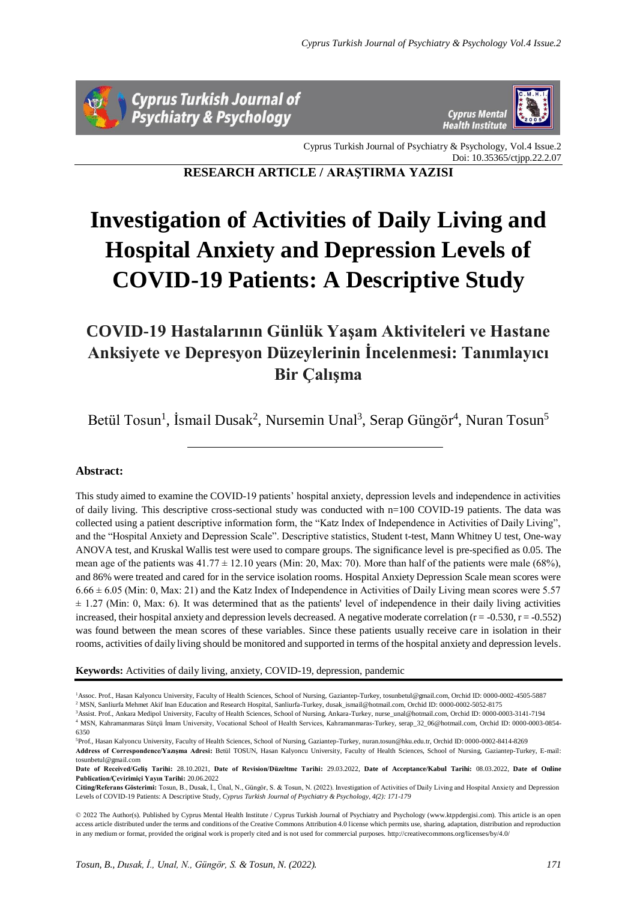



Cyprus Turkish Journal of Psychiatry & Psychology, Vol.4 Issue.2 Doi: 10.35365/ctjpp.22.2.07

**RESEARCH ARTICLE / ARAŞTIRMA YAZISI**

# **Investigation of Activities of Daily Living and Hospital Anxiety and Depression Levels of COVID-19 Patients: A Descriptive Study**

# **COVID-19 Hastalarının Günlük Yaşam Aktiviteleri ve Hastane Anksiyete ve Depresyon Düzeylerinin İncelenmesi: Tanımlayıcı Bir Çalışma**

Betül Tosun<sup>1</sup>, İsmail Dusak<sup>2</sup>, Nursemin Unal<sup>3</sup>, Serap Güngör<sup>4</sup>, Nuran Tosun<sup>5</sup>

# **Abstract:**

This study aimed to examine the COVID-19 patients' hospital anxiety, depression levels and independence in activities of daily living. This descriptive cross-sectional study was conducted with n=100 COVID-19 patients. The data was collected using a patient descriptive information form, the "Katz Index of Independence in Activities of Daily Living", and the "Hospital Anxiety and Depression Scale". Descriptive statistics, Student t-test, Mann Whitney U test, One-way ANOVA test, and Kruskal Wallis test were used to compare groups. The significance level is pre-specified as 0.05. The mean age of the patients was  $41.77 \pm 12.10$  years (Min: 20, Max: 70). More than half of the patients were male (68%), and 86% were treated and cared for in the service isolation rooms. Hospital Anxiety Depression Scale mean scores were  $6.66 \pm 6.05$  (Min: 0, Max: 21) and the Katz Index of Independence in Activities of Daily Living mean scores were 5.57  $\pm$  1.27 (Min: 0, Max: 6). It was determined that as the patients' level of independence in their daily living activities increased, their hospital anxiety and depression levels decreased. A negative moderate correlation  $(r = -0.530, r = -0.552)$ was found between the mean scores of these variables. Since these patients usually receive care in isolation in their rooms, activities of daily living should be monitored and supported in terms of the hospital anxiety and depression levels.

**Keywords:** Activities of daily living, anxiety, COVID-19, depression, pandemic

<sup>1</sup>Assoc. Prof., Hasan Kalyoncu University, Faculty of Health Sciences, School of Nursing, Gaziantep-Turkey, tosunbetul@gmail.com, Orchid ID: 0000-0002-4505-5887

<sup>2</sup> MSN, Sanliurfa Mehmet Akif Inan Education and Research Hospital, Sanliurfa-Turkey, dusak\_ismail@hotmail.com, Orchid ID: 0000-0002-5052-8175 <sup>3</sup>Assist. Prof., Ankara Medipol University, Faculty of Health Sciences, School of Nursing, Ankara-Turkey[, nurse\\_unal@hotmail.com,](mailto:nurse_unal@hotmail.com) Orchid ID: 0000-0003-3141-7194

<sup>4</sup> MSN, Kahramanmaras Sütçü İmam University, Vocational School of Health Services, Kahramanmaras-Turkey[, serap\\_32\\_06@hotmail.com,](mailto:serap_32_06@hotmail.com) Orchid ID: 0000-0003-0854- 6350

<sup>5</sup>Prof., Hasan Kalyoncu University, Faculty of Health Sciences, School of Nursing, Gaziantep-Turkey[, nuran.tosun@hku.edu.tr,](mailto:nuran.tosun@hku.edu.tr) Orchid ID: 0000-0002-8414-8269 **Address of Correspondence/Yazışma Adresi:** Betül TOSUN, Hasan Kalyoncu University, Faculty of Health Sciences, School of Nursing, Gaziantep-Turkey, E-mail: tosunbetul@gmail.com

**Date of Received/Geliş Tarihi:** 28.10.2021, **Date of Revision/Düzeltme Tarihi:** 29.03.2022, **Date of Acceptance/Kabul Tarihi:** 08.03.2022, **Date of Online Publication/Çevirimiçi Yayın Tarihi:** 20.06.2022

**Citing/Referans Gösterimi:** Tosun, B., Dusak, İ., Ünal, N., Güngör, S. & Tosun, N. (2022). Investigation of Activities of Daily Living and Hospital Anxiety and Depression Levels of COVID-19 Patients: A Descriptive Study, *Cyprus Turkish Journal of Psychiatry & Psychology, 4(2): 171-179*

© 2022 The Author(s). Published by Cyprus Mental Health Institute / Cyprus Turkish Journal of Psychiatry and Psychology (www.ktppdergisi.com). This article is an open access article distributed under the terms and conditions of the Creative Commons Attribution 4.0 license which permits use, sharing, adaptation, distribution and reproduction in any medium or format, provided the original work is properly cited and is not used for commercial purposes. http://creativecommons.org/licenses/by/4.0/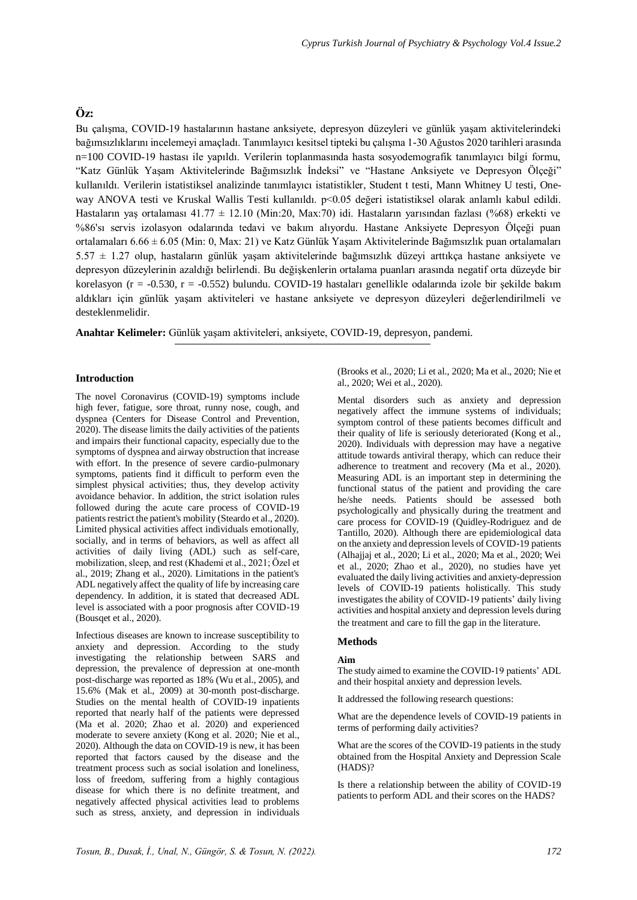# **Öz:**

Bu çalışma, COVID-19 hastalarının hastane anksiyete, depresyon düzeyleri ve günlük yaşam aktivitelerindeki bağımsızlıklarını incelemeyi amaçladı. Tanımlayıcı kesitsel tipteki bu çalışma 1-30 Ağustos 2020 tarihleri arasında n=100 COVID-19 hastası ile yapıldı. Verilerin toplanmasında hasta sosyodemografik tanımlayıcı bilgi formu, "Katz Günlük Yaşam Aktivitelerinde Bağımsızlık İndeksi" ve "Hastane Anksiyete ve Depresyon Ölçeği" kullanıldı. Verilerin istatistiksel analizinde tanımlayıcı istatistikler, Student t testi, Mann Whitney U testi, Oneway ANOVA testi ve Kruskal Wallis Testi kullanıldı. p<0.05 değeri istatistiksel olarak anlamlı kabul edildi. Hastaların yaş ortalaması 41.77 ± 12.10 (Min:20, Max:70) idi. Hastaların yarısından fazlası (%68) erkekti ve %86'sı servis izolasyon odalarında tedavi ve bakım alıyordu. Hastane Anksiyete Depresyon Ölçeği puan ortalamaları 6.66 ± 6.05 (Min: 0, Max: 21) ve Katz Günlük Yaşam Aktivitelerinde Bağımsızlık puan ortalamaları 5.57 ± 1.27 olup, hastaların günlük yaşam aktivitelerinde bağımsızlık düzeyi arttıkça hastane anksiyete ve depresyon düzeylerinin azaldığı belirlendi. Bu değişkenlerin ortalama puanları arasında negatif orta düzeyde bir korelasyon (r = -0.530, r = -0.552) bulundu. COVID-19 hastaları genellikle odalarında izole bir şekilde bakım aldıkları için günlük yaşam aktiviteleri ve hastane anksiyete ve depresyon düzeyleri değerlendirilmeli ve desteklenmelidir.

**Anahtar Kelimeler:** Günlük yaşam aktiviteleri, anksiyete, COVID-19, depresyon, pandemi.

# **Introduction**

The novel Coronavirus (COVID-19) symptoms include high fever, fatigue, sore throat, runny nose, cough, and dyspnea (Centers for Disease Control and Prevention, 2020). The disease limits the daily activities of the patients and impairs their functional capacity, especially due to the symptoms of dyspnea and airway obstruction that increase with effort. In the presence of severe cardio-pulmonary symptoms, patients find it difficult to perform even the simplest physical activities; thus, they develop activity avoidance behavior. In addition, the strict isolation rules followed during the acute care process of COVID-19 patients restrict the patient's mobility (Steardo et al., 2020). Limited physical activities affect individuals emotionally, socially, and in terms of behaviors, as well as affect all activities of daily living (ADL) such as self-care, mobilization, sleep, and rest (Khademi et al., 2021; Özel et al., 2019; Zhang et al., 2020). Limitations in the patient's ADL negatively affect the quality of life by increasing care dependency. In addition, it is stated that decreased ADL level is associated with a poor prognosis after COVID-19 (Bousqet et al., 2020).

Infectious diseases are known to increase susceptibility to anxiety and depression. According to the study investigating the relationship between SARS and depression, the prevalence of depression at one-month post-discharge was reported as 18% (Wu et al., 2005), and 15.6% (Mak et al., 2009) at 30-month post-discharge. Studies on the mental health of COVID-19 inpatients reported that nearly half of the patients were depressed (Ma et al. 2020; Zhao et al. 2020) and experienced moderate to severe anxiety (Kong et al. 2020; Nie et al., 2020). Although the data on COVID-19 is new, it has been reported that factors caused by the disease and the treatment process such as social isolation and loneliness, loss of freedom, suffering from a highly contagious disease for which there is no definite treatment, and negatively affected physical activities lead to problems such as stress, anxiety, and depression in individuals (Brooks et al., 2020; Li et al., 2020; Ma et al., 2020; Nie et al., 2020; Wei et al., 2020).

Mental disorders such as anxiety and depression negatively affect the immune systems of individuals; symptom control of these patients becomes difficult and their quality of life is seriously deteriorated (Kong et al., 2020). Individuals with depression may have a negative attitude towards antiviral therapy, which can reduce their adherence to treatment and recovery (Ma et al., 2020). Measuring ADL is an important step in determining the functional status of the patient and providing the care he/she needs. Patients should be assessed both psychologically and physically during the treatment and care process for COVID-19 (Quidley-Rodriguez and de Tantillo, 2020). Although there are epidemiological data on the anxiety and depression levels of COVID-19 patients (Alhajjaj et al., 2020; Li et al., 2020; Ma et al., 2020; Wei et al., 2020; Zhao et al., 2020), no studies have yet evaluated the daily living activities and anxiety-depression levels of COVID-19 patients holistically. This study investigates the ability of COVID-19 patients' daily living activities and hospital anxiety and depression levels during the treatment and care to fill the gap in the literature.

# **Methods**

# **Aim**

The study aimed to examine the COVID-19 patients' ADL and their hospital anxiety and depression levels.

It addressed the following research questions:

What are the dependence levels of COVID-19 patients in terms of performing daily activities?

What are the scores of the COVID-19 patients in the study obtained from the Hospital Anxiety and Depression Scale (HADS)?

Is there a relationship between the ability of COVID-19 patients to perform ADL and their scores on the HADS?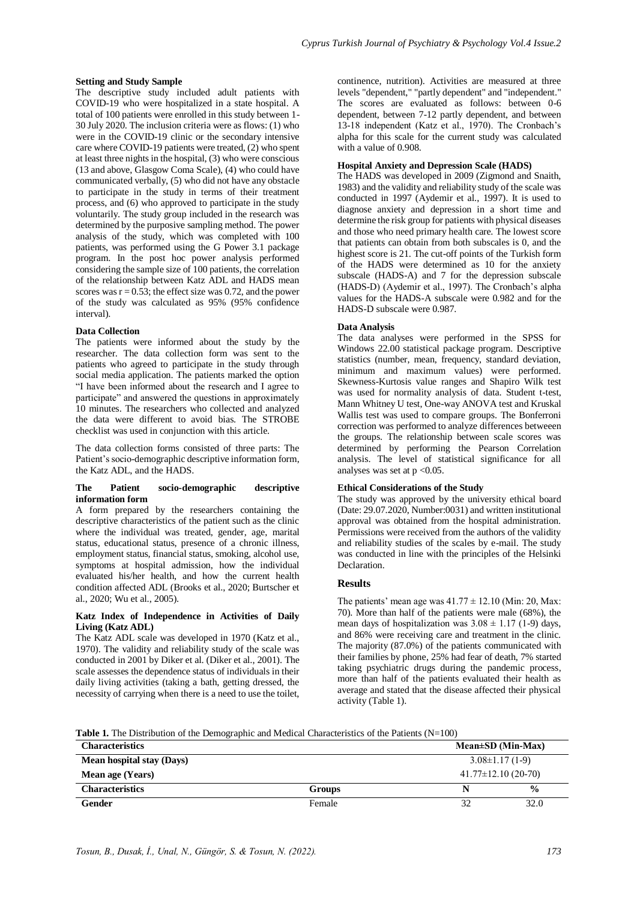# **Setting and Study Sample**

The descriptive study included adult patients with COVID-19 who were hospitalized in a state hospital. A total of 100 patients were enrolled in this study between 1- 30 July 2020. The inclusion criteria were as flows: (1) who were in the COVID-19 clinic or the secondary intensive care where COVID-19 patients were treated, (2) who spent at least three nights in the hospital, (3) who were conscious (13 and above, Glasgow Coma Scale), (4) who could have communicated verbally, (5) who did not have any obstacle to participate in the study in terms of their treatment process, and (6) who approved to participate in the study voluntarily. The study group included in the research was determined by the purposive sampling method. The power analysis of the study, which was completed with 100 patients, was performed using the G Power 3.1 package program. In the post hoc power analysis performed considering the sample size of 100 patients, the correlation of the relationship between Katz ADL and HADS mean scores was  $r = 0.53$ ; the effect size was 0.72, and the power of the study was calculated as 95% (95% confidence interval).

# **Data Collection**

The patients were informed about the study by the researcher. The data collection form was sent to the patients who agreed to participate in the study through social media application. The patients marked the option "I have been informed about the research and I agree to participate" and answered the questions in approximately 10 minutes. The researchers who collected and analyzed the data were different to avoid bias. The STROBE checklist was used in conjunction with this article.

The data collection forms consisted of three parts: The Patient's socio-demographic descriptive information form, the Katz ADL, and the HADS.

#### **The Patient socio-demographic descriptive information form**

A form prepared by the researchers containing the descriptive characteristics of the patient such as the clinic where the individual was treated, gender, age, marital status, educational status, presence of a chronic illness, employment status, financial status, smoking, alcohol use, symptoms at hospital admission, how the individual evaluated his/her health, and how the current health condition affected ADL (Brooks et al., 2020; Burtscher et al., 2020; Wu et al., 2005).

# **Katz Index of Independence in Activities of Daily Living (Katz ADL)**

The Katz ADL scale was developed in 1970 (Katz et al., 1970). The validity and reliability study of the scale was conducted in 2001 by Diker et al. (Diker et al., 2001). The scale assesses the dependence status of individuals in their daily living activities (taking a bath, getting dressed, the necessity of carrying when there is a need to use the toilet,

continence, nutrition). Activities are measured at three levels "dependent," "partly dependent" and "independent." The scores are evaluated as follows: between 0-6 dependent, between 7-12 partly dependent, and between 13-18 independent (Katz et al., 1970). The Cronbach's alpha for this scale for the current study was calculated with a value of 0.908.

# **Hospital Anxiety and Depression Scale (HADS)**

The HADS was developed in 2009 (Zigmond and Snaith, 1983) and the validity and reliability study of the scale was conducted in 1997 (Aydemir et al., 1997). It is used to diagnose anxiety and depression in a short time and determine the risk group for patients with physical diseases and those who need primary health care. The lowest score that patients can obtain from both subscales is 0, and the highest score is 21. The cut-off points of the Turkish form of the HADS were determined as 10 for the anxiety subscale (HADS-A) and 7 for the depression subscale (HADS-D) (Aydemir et al., 1997). The Cronbach's alpha values for the HADS-A subscale were 0.982 and for the HADS-D subscale were 0.987.

# **Data Analysis**

The data analyses were performed in the SPSS for Windows 22.00 statistical package program. Descriptive statistics (number, mean, frequency, standard deviation, minimum and maximum values) were performed. Skewness-Kurtosis value ranges and Shapiro Wilk test was used for normality analysis of data. Student t-test, Mann Whitney U test, One-way ANOVA test and Kruskal Wallis test was used to compare groups. The Bonferroni correction was performed to analyze differences betweeen the groups. The relationship between scale scores was determined by performing the Pearson Correlation analysis. The level of statistical significance for all analyses was set at  $p < 0.05$ .

# **Ethical Considerations of the Study**

The study was approved by the university ethical board (Date: 29.07.2020, Number:0031) and written institutional approval was obtained from the hospital administration. Permissions were received from the authors of the validity and reliability studies of the scales by e-mail. The study was conducted in line with the principles of the Helsinki Declaration.

# **Results**

The patients' mean age was  $41.77 \pm 12.10$  (Min: 20, Max: 70). More than half of the patients were male (68%), the mean days of hospitalization was  $3.08 \pm 1.17$  (1-9) days, and 86% were receiving care and treatment in the clinic. The majority (87.0%) of the patients communicated with their families by phone, 25% had fear of death, 7% started taking psychiatric drugs during the pandemic process, more than half of the patients evaluated their health as average and stated that the disease affected their physical activity (Table 1).

**Table 1.** The Distribution of the Demographic and Medical Characteristics of the Patients (N=100)

| <b>Characteristics</b>    |        | Mean $\pm$ SD (Min-Max)  |               |
|---------------------------|--------|--------------------------|---------------|
| Mean hospital stay (Days) |        | $3.08\pm1.17(1-9)$       |               |
| Mean age (Years)          |        | $41.77 \pm 12.10(20-70)$ |               |
| <b>Characteristics</b>    | Groups |                          | $\frac{0}{0}$ |
| Gender                    | Female |                          | 32.0          |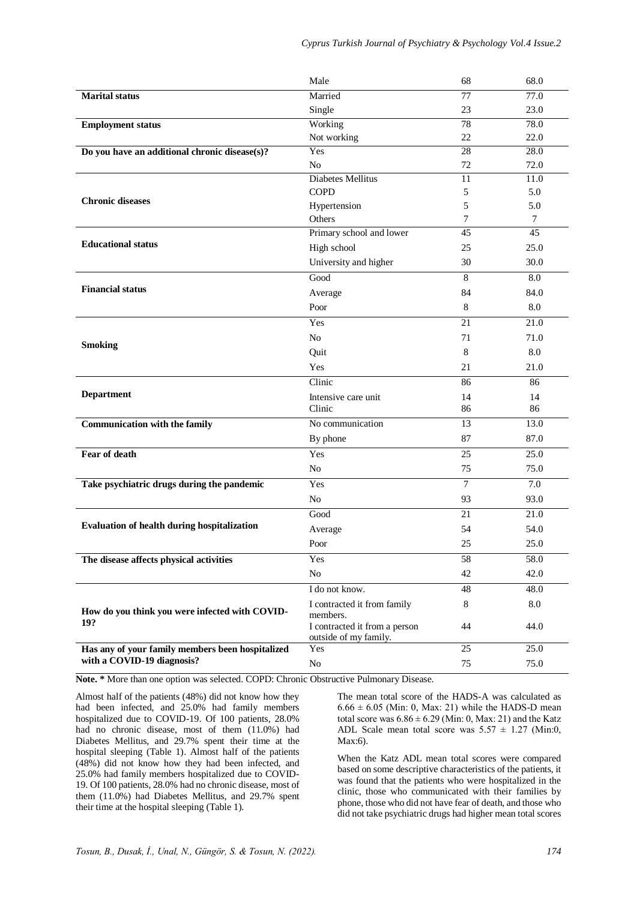|                                                                                | Male                          | 68             | 68.0         |
|--------------------------------------------------------------------------------|-------------------------------|----------------|--------------|
| <b>Marital</b> status                                                          | Married                       | 77             | 77.0         |
|                                                                                | Single                        | 23             | 23.0         |
| <b>Employment status</b>                                                       | Working                       | 78             | 78.0         |
|                                                                                | Not working                   | 22             | 22.0         |
| Do you have an additional chronic disease(s)?                                  | Yes                           | 28             | 28.0         |
|                                                                                | N <sub>o</sub>                | 72             | 72.0         |
|                                                                                | Diabetes Mellitus             | 11             | 11.0         |
| <b>Chronic diseases</b>                                                        | <b>COPD</b>                   | 5              | 5.0          |
|                                                                                | Hypertension                  | 5              | 5.0          |
|                                                                                | Others                        | 7              | $\tau$       |
| <b>Educational status</b>                                                      | Primary school and lower      | 45             | 45           |
|                                                                                | High school                   | 25             | 25.0         |
|                                                                                | University and higher         | 30             | 30.0         |
| <b>Financial status</b>                                                        | Good                          | 8              | 8.0          |
|                                                                                | Average                       | 84             | 84.0         |
|                                                                                | Poor                          | $\,8\,$        | 8.0          |
|                                                                                | Yes                           | 21             | 21.0         |
|                                                                                | No                            | 71             | 71.0         |
| <b>Smoking</b>                                                                 | Quit                          | 8              | 8.0          |
|                                                                                | Yes                           | 21             | 21.0         |
|                                                                                | Clinic                        | 86             | 86           |
| <b>Department</b>                                                              | Intensive care unit           | 14             | 14           |
|                                                                                | Clinic                        | 86             | 86           |
| <b>Communication with the family</b>                                           | No communication              | 13             | 13.0         |
|                                                                                | By phone                      | 87             | 87.0         |
| Fear of death                                                                  | Yes                           | 25             | 25.0         |
|                                                                                | N <sub>o</sub>                | 75             | 75.0         |
| Take psychiatric drugs during the pandemic                                     | Yes                           | $\overline{7}$ | 7.0          |
|                                                                                | N <sub>o</sub>                | 93             | 93.0         |
|                                                                                | Good                          | 21             | 21.0         |
| <b>Evaluation of health during hospitalization</b>                             | Average                       | 54             | 54.0         |
|                                                                                | Poor                          | 25             | 25.0         |
| The disease affects physical activities                                        | Yes                           | 58             | 58.0         |
|                                                                                | No                            | 42             | 42.0         |
|                                                                                | I do not know.                | 48             | 48.0         |
|                                                                                | I contracted it from family   | 8              | $8.0\,$      |
| How do you think you were infected with COVID-                                 | members.                      |                |              |
| 19?                                                                            | I contracted it from a person | 44             | 44.0         |
|                                                                                |                               |                |              |
|                                                                                | outside of my family.         |                |              |
| Has any of your family members been hospitalized<br>with a COVID-19 diagnosis? | Yes<br>$\rm No$               | 25<br>75       | 25.0<br>75.0 |

**Note. \*** More than one option was selected. COPD: Chronic Obstructive Pulmonary Disease.

Almost half of the patients (48%) did not know how they had been infected, and 25.0% had family members hospitalized due to COVID-19. Of 100 patients, 28.0% had no chronic disease, most of them (11.0%) had Diabetes Mellitus, and 29.7% spent their time at the hospital sleeping (Table 1). Almost half of the patients (48%) did not know how they had been infected, and 25.0% had family members hospitalized due to COVID-19. Of 100 patients, 28.0% had no chronic disease, most of them (11.0%) had Diabetes Mellitus, and 29.7% spent their time at the hospital sleeping (Table 1).

The mean total score of the HADS-A was calculated as  $6.66 \pm 6.05$  (Min: 0, Max: 21) while the HADS-D mean total score was  $6.86 \pm 6.29$  (Min: 0, Max: 21) and the Katz ADL Scale mean total score was  $5.57 \pm 1.27$  (Min:0, Max:6).

When the Katz ADL mean total scores were compared based on some descriptive characteristics of the patients, it was found that the patients who were hospitalized in the clinic, those who communicated with their families by phone, those who did not have fear of death, and those who did not take psychiatric drugs had higher mean total scores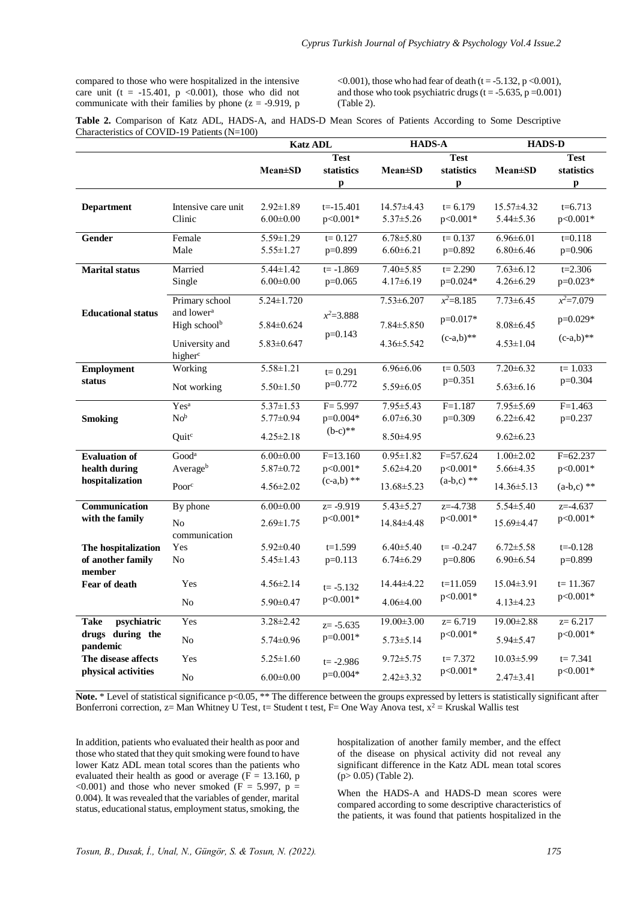compared to those who were hospitalized in the intensive care unit (t = -15.401, p <0.001), those who did not communicate with their families by phone ( $z = -9.919$ , p

 $\leq 0.001$ ), those who had fear of death (t = -5.132, p $\leq 0.001$ ). and those who took psychiatric drugs ( $t = -5.635$ ,  $p = 0.001$ ) (Table 2).

| Table 2. Comparison of Katz ADL, HADS-A, and HADS-D Mean Scores of Patients According to Some Descriptive |  |  |  |  |  |  |
|-----------------------------------------------------------------------------------------------------------|--|--|--|--|--|--|
| Characteristics of COVID-19 Patients $(N=100)$                                                            |  |  |  |  |  |  |

|                              |                          | <b>Katz ADL</b>  |               | <b>HADS-A</b>    |               | <b>HADS-D</b>    |               |
|------------------------------|--------------------------|------------------|---------------|------------------|---------------|------------------|---------------|
|                              |                          |                  | <b>Test</b>   |                  | <b>Test</b>   |                  | <b>Test</b>   |
|                              |                          | <b>Mean±SD</b>   | statistics    | <b>Mean</b> ±SD  | statistics    | $Mean \pm SD$    | statistics    |
|                              |                          |                  | p             |                  | p             |                  | p             |
|                              |                          |                  |               |                  |               |                  |               |
| <b>Department</b>            | Intensive care unit      | $2.92 \pm 1.89$  | $t = -15.401$ | $14.57\pm4.43$   | $t = 6.179$   | $15.57 \pm 4.32$ | $t=6.713$     |
|                              | Clinic                   | $6.00 \pm 0.00$  | p<0.001*      | $5.37 \pm 5.26$  | p<0.001*      | $5.44 \pm 5.36$  | p<0.001*      |
| Gender                       | Female                   | $5.59 \pm 1.29$  | $t = 0.127$   | $6.78 \pm 5.80$  | $t = 0.137$   | $6.96 \pm 6.01$  | $t = 0.118$   |
|                              | Male                     | $5.55 \pm 1.27$  | p=0.899       | $6.60 \pm 6.21$  | p=0.892       | $6.80 \pm 6.46$  | $p=0.906$     |
|                              |                          |                  |               |                  |               |                  |               |
| <b>Marital</b> status        | Married                  | $5.44 \pm 1.42$  | $t = -1.869$  | $7.40 \pm 5.85$  | $t = 2.290$   | $7.63 \pm 6.12$  | $t = 2.306$   |
|                              | Single                   | $6.00 \pm 0.00$  | $p=0.065$     | $4.17\pm 6.19$   | p=0.024*      | $4.26 \pm 6.29$  | p=0.023*      |
|                              | Primary school           | $5.24 \pm 1.720$ |               | $7.53 \pm 6.207$ | $x^2 = 8.185$ | $7.73 \pm 6.45$  | $x^2 = 7.079$ |
| <b>Educational status</b>    | and lower <sup>a</sup>   |                  |               |                  |               |                  |               |
|                              | High school <sup>b</sup> | $5.84 \pm 0.624$ | $x^2 = 3.888$ | $7.84 \pm 5.850$ | $p=0.017*$    | $8.08 \pm 6.45$  | p=0.029*      |
|                              |                          |                  | $p=0.143$     |                  | $(c-a,b)$ **  |                  | $(c-a,b)$ **  |
|                              | University and           | $5.83 \pm 0.647$ |               | $4.36 \pm 5.542$ |               | $4.53 \pm 1.04$  |               |
|                              | higher <sup>c</sup>      |                  |               |                  |               |                  |               |
| <b>Employment</b>            | Working                  | $5.58 \pm 1.21$  | $t = 0.291$   | $6.96 \pm 6.06$  | $t = 0.503$   | $7.20 \pm 6.32$  | $t = 1.033$   |
| status                       | Not working              | $5.50 \pm 1.50$  | p=0.772       | $5.59 \pm 6.05$  | $p=0.351$     | $5.63\pm 6.16$   | p=0.304       |
|                              | Yes <sup>a</sup>         | $5.37 \pm 1.53$  | $F = 5.997$   | $7.95 \pm 5.43$  | $F = 1.187$   | $7.95 \pm 5.69$  | $F = 1.463$   |
| <b>Smoking</b>               | No <sup>b</sup>          | $5.77 \pm 0.94$  | p=0.004*      | $6.07 \pm 6.30$  | $p=0.309$     | $6.22 \pm 6.42$  | $p=0.237$     |
|                              | Quit <sup>c</sup>        | $4.25 \pm 2.18$  | $(b-c)**$     | $8.50\pm4.95$    |               | $9.62 \pm 6.23$  |               |
| <b>Evaluation of</b>         | Good <sup>a</sup>        | $6.00 \pm 0.00$  | $F=13.160$    | $0.95 \pm 1.82$  | $F = 57.624$  | $1.00 \pm 2.02$  | $F=62.237$    |
| health during                | Averageb                 | $5.87 \pm 0.72$  | p<0.001*      | $5.62 \pm 4.20$  | p<0.001*      | $5.66 \pm 4.35$  | p<0.001*      |
| hospitalization              |                          |                  | $(c-a,b)$ **  |                  | $(a-b,c)$ **  |                  |               |
|                              | Poor <sup>c</sup>        | $4.56 \pm 2.02$  |               | $13.68 \pm 5.23$ |               | $14.36 \pm 5.13$ | $(a-b,c)$ **  |
| Communication                | By phone                 | $6.00 \pm 0.00$  | $z = -9.919$  | $5.43 \pm 5.27$  | $z = -4.738$  | $5.54 \pm 5.40$  | $z = -4.637$  |
| with the family              |                          |                  | p<0.001*      |                  | p<0.001*      |                  | p<0.001*      |
|                              | No                       | $2.69 \pm 1.75$  |               | 14.84±4.48       |               | 15.69±4.47       |               |
|                              | communication            |                  |               |                  |               |                  |               |
| The hospitalization          | Yes                      | $5.92 \pm 0.40$  | $t=1.599$     | $6.40 \pm 5.40$  | $t = -0.247$  | $6.72 \pm 5.58$  | $t = -0.128$  |
| of another family            | N <sub>o</sub>           | $5.45 \pm 1.43$  | $p=0.113$     | $6.74 \pm 6.29$  | $p=0.806$     | $6.90 \pm 6.54$  | p=0.899       |
| member<br>Fear of death      | Yes                      | $4.56 \pm 2.14$  | $t = -5.132$  | 14.44±4.22       | $t=11.059$    | $15.04 \pm 3.91$ | $t = 11.367$  |
|                              |                          |                  | p<0.001*      |                  | p<0.001*      |                  | p<0.001*      |
|                              | N <sub>o</sub>           | $5.90 \pm 0.47$  |               | $4.06\pm4.00$    |               | $4.13 \pm 4.23$  |               |
| psychiatric<br><b>Take</b>   | Yes                      | $3.28 \pm 2.42$  | $z = -5.635$  | $19.00 \pm 3.00$ | $z=6.719$     | $19.00 \pm 2.88$ | $z=6.217$     |
| drugs during the<br>pandemic | No                       | $5.74 \pm 0.96$  | $p=0.001*$    | $5.73 \pm 5.14$  | p<0.001*      | $5.94 \pm 5.47$  | p<0.001*      |
| The disease affects          | Yes                      | $5.25 \pm 1.60$  | $t = -2.986$  | $9.72 \pm 5.75$  | $t = 7.372$   | $10.03 \pm 5.99$ | $t = 7.341$   |
| physical activities          | No                       | $6.00 \pm 0.00$  | p=0.004*      | $2.42 \pm 3.32$  | p<0.001*      | $2.47 \pm 3.41$  | $p<0.001*$    |

Note. \* Level of statistical significance p<0.05, \*\* The difference between the groups expressed by letters is statistically significant after Bonferroni correction,  $z=$  Man Whitney U Test,  $t=$  Student t test,  $F=$  One Way Anova test,  $x^2 =$  Kruskal Wallis test

In addition, patients who evaluated their health as poor and those who stated that they quit smoking were found to have lower Katz ADL mean total scores than the patients who evaluated their health as good or average ( $\overline{F} = 13.160$ , p <0.001) and those who never smoked  $(F = 5.997, p =$ 0.004). It was revealed that the variables of gender, marital status, educational status, employment status, smoking, the

hospitalization of another family member, and the effect of the disease on physical activity did not reveal any significant difference in the Katz ADL mean total scores (p> 0.05) (Table 2).

When the HADS-A and HADS-D mean scores were compared according to some descriptive characteristics of the patients, it was found that patients hospitalized in the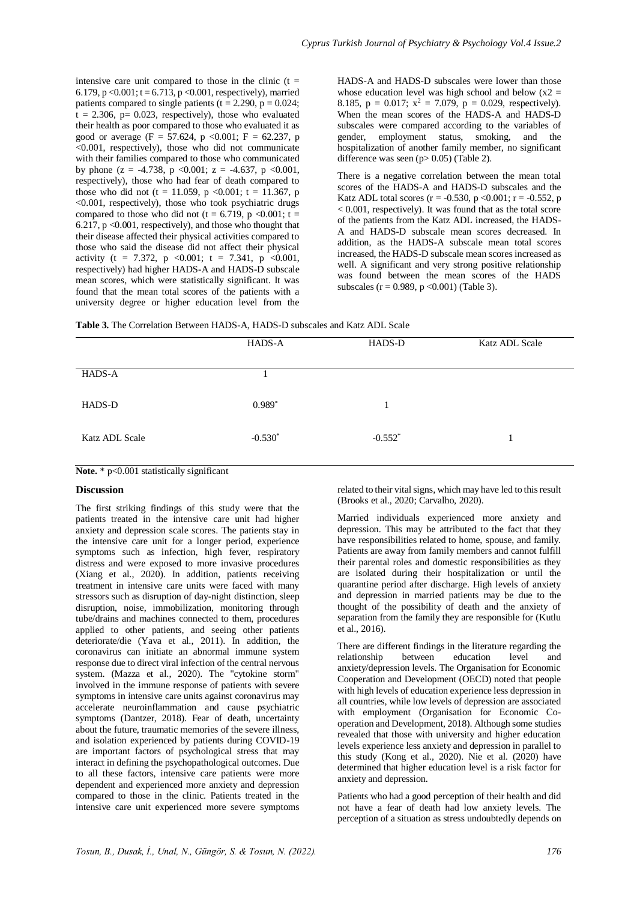intensive care unit compared to those in the clinic  $(t =$ 6.179, p < 0.001;  $t = 6.71\hat{3}$ , p < 0.001, respectively), married patients compared to single patients ( $t = 2.290$ ,  $p = 0.024$ ;  $t = 2.306$ ,  $p = 0.023$ , respectively), those who evaluated their health as poor compared to those who evaluated it as good or average (F = 57.624, p <0.001; F = 62.237, p  $\leq 0.001$ , respectively), those who did not communicate with their families compared to those who communicated by phone  $(z = -4.738, p \le 0.001; z = -4.637, p \le 0.001$ , respectively), those who had fear of death compared to those who did not (t = 11.059, p <0.001; t = 11.367, p <0.001, respectively), those who took psychiatric drugs compared to those who did not (t = 6.719, p <0.001; t = 6.217,  $p \le 0.001$ , respectively), and those who thought that their disease affected their physical activities compared to those who said the disease did not affect their physical activity (t = 7.372, p < 0.001; t = 7.341, p < 0.001, respectively) had higher HADS-A and HADS-D subscale mean scores, which were statistically significant. It was found that the mean total scores of the patients with a university degree or higher education level from the HADS-A and HADS-D subscales were lower than those whose education level was high school and below  $(x2 =$ 8.185, p = 0.017;  $x^2 = 7.079$ , p = 0.029, respectively). When the mean scores of the HADS-A and HADS-D subscales were compared according to the variables of gender, employment status, smoking, and the hospitalization of another family member, no significant difference was seen  $(p> 0.05)$  (Table 2).

There is a negative correlation between the mean total scores of the HADS-A and HADS-D subscales and the Katz ADL total scores ( $r = -0.530$ ,  $p < 0.001$ ;  $r = -0.552$ , p  $< 0.001$ , respectively). It was found that as the total score of the patients from the Katz ADL increased, the HADS-A and HADS-D subscale mean scores decreased. In addition, as the HADS-A subscale mean total scores increased, the HADS-D subscale mean scores increased as well. A significant and very strong positive relationship was found between the mean scores of the HADS subscales ( $r = 0.989$ ,  $p < 0.001$ ) (Table 3).

|                       | HADS-A    | HADS-D    | Katz ADL Scale |
|-----------------------|-----------|-----------|----------------|
| HADS-A                |           |           |                |
| HADS-D                | $0.989*$  |           |                |
| <b>Katz ADL Scale</b> | $-0.530*$ | $-0.552*$ |                |
|                       |           |           |                |

Note. \* p<0.001 statistically significant

# **Discussion**

The first striking findings of this study were that the patients treated in the intensive care unit had higher anxiety and depression scale scores. The patients stay in the intensive care unit for a longer period, experience symptoms such as infection, high fever, respiratory distress and were exposed to more invasive procedures (Xiang et al., 2020). In addition, patients receiving treatment in intensive care units were faced with many stressors such as disruption of day-night distinction, sleep disruption, noise, immobilization, monitoring through tube/drains and machines connected to them, procedures applied to other patients, and seeing other patients deteriorate/die (Yava et al., 2011). In addition, the coronavirus can initiate an abnormal immune system response due to direct viral infection of the central nervous system. (Mazza et al., 2020). The "cytokine storm" involved in the immune response of patients with severe symptoms in intensive care units against coronavirus may accelerate neuroinflammation and cause psychiatric symptoms (Dantzer, 2018). Fear of death, uncertainty about the future, traumatic memories of the severe illness, and isolation experienced by patients during COVID-19 are important factors of psychological stress that may interact in defining the psychopathological outcomes. Due to all these factors, intensive care patients were more dependent and experienced more anxiety and depression compared to those in the clinic. Patients treated in the intensive care unit experienced more severe symptoms

related to their vital signs, which may have led to this result (Brooks et al., 2020; Carvalho, 2020).

Married individuals experienced more anxiety and depression. This may be attributed to the fact that they have responsibilities related to home, spouse, and family. Patients are away from family members and cannot fulfill their parental roles and domestic responsibilities as they are isolated during their hospitalization or until the quarantine period after discharge. High levels of anxiety and depression in married patients may be due to the thought of the possibility of death and the anxiety of separation from the family they are responsible for (Kutlu et al., 2016).

There are different findings in the literature regarding the relationship between education level and anxiety/depression levels. The Organisation for Economic Cooperation and Development (OECD) noted that people with high levels of education experience less depression in all countries, while low levels of depression are associated with employment (Organisation for Economic Cooperation and Development, 2018). Although some studies revealed that those with university and higher education levels experience less anxiety and depression in parallel to this study (Kong et al., 2020). Nie et al. (2020) have determined that higher education level is a risk factor for anxiety and depression.

Patients who had a good perception of their health and did not have a fear of death had low anxiety levels. The perception of a situation as stress undoubtedly depends on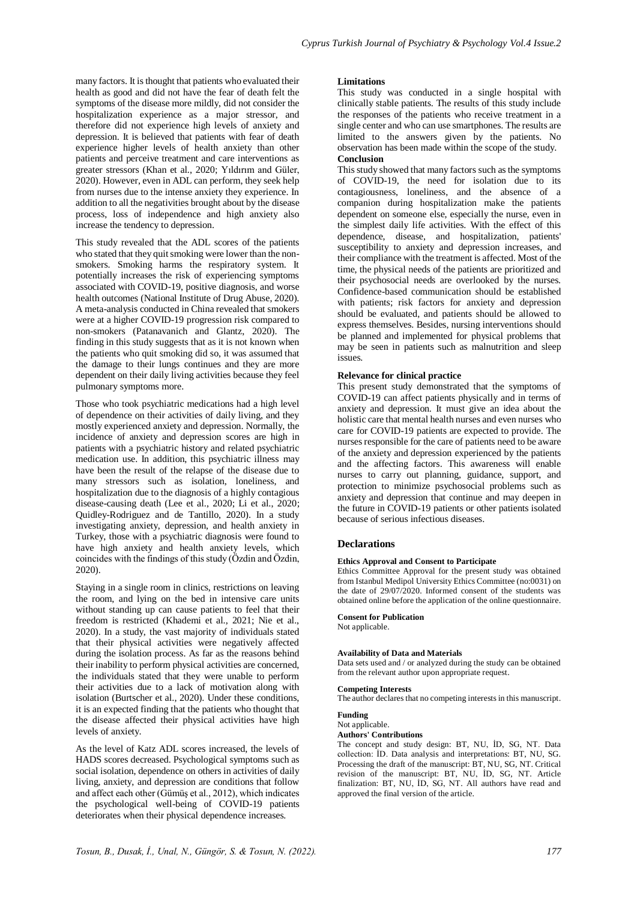many factors. It is thought that patients who evaluated their health as good and did not have the fear of death felt the symptoms of the disease more mildly, did not consider the hospitalization experience as a major stressor, and therefore did not experience high levels of anxiety and depression. It is believed that patients with fear of death experience higher levels of health anxiety than other patients and perceive treatment and care interventions as greater stressors (Khan et al., 2020; Yıldırım and Güler, 2020). However, even in ADL can perform, they seek help from nurses due to the intense anxiety they experience. In addition to all the negativities brought about by the disease process, loss of independence and high anxiety also increase the tendency to depression.

This study revealed that the ADL scores of the patients who stated that they quit smoking were lower than the nonsmokers. Smoking harms the respiratory system. It potentially increases the risk of experiencing symptoms associated with COVID-19, positive diagnosis, and worse health outcomes (National Institute of Drug Abuse, 2020). A meta-analysis conducted in China revealed that smokers were at a higher COVID-19 progression risk compared to non-smokers (Patanavanich and Glantz, 2020). The finding in this study suggests that as it is not known when the patients who quit smoking did so, it was assumed that the damage to their lungs continues and they are more dependent on their daily living activities because they feel pulmonary symptoms more.

Those who took psychiatric medications had a high level of dependence on their activities of daily living, and they mostly experienced anxiety and depression. Normally, the incidence of anxiety and depression scores are high in patients with a psychiatric history and related psychiatric medication use. In addition, this psychiatric illness may have been the result of the relapse of the disease due to many stressors such as isolation, loneliness, and hospitalization due to the diagnosis of a highly contagious disease-causing death (Lee et al., 2020; Li et al., 2020; Quidley-Rodriguez and de Tantillo, 2020). In a study investigating anxiety, depression, and health anxiety in Turkey, those with a psychiatric diagnosis were found to have high anxiety and health anxiety levels, which coincides with the findings of this study (Özdin and Özdin, 2020).

Staying in a single room in clinics, restrictions on leaving the room, and lying on the bed in intensive care units without standing up can cause patients to feel that their freedom is restricted (Khademi et al., 2021; Nie et al., 2020). In a study, the vast majority of individuals stated that their physical activities were negatively affected during the isolation process. As far as the reasons behind their inability to perform physical activities are concerned, the individuals stated that they were unable to perform their activities due to a lack of motivation along with isolation (Burtscher et al., 2020). Under these conditions, it is an expected finding that the patients who thought that the disease affected their physical activities have high levels of anxiety.

As the level of Katz ADL scores increased, the levels of HADS scores decreased. Psychological symptoms such as social isolation, dependence on others in activities of daily living, anxiety, and depression are conditions that follow and affect each other (Gümüş et al., 2012), which indicates the psychological well-being of COVID-19 patients deteriorates when their physical dependence increases.

#### **Limitations**

This study was conducted in a single hospital with clinically stable patients. The results of this study include the responses of the patients who receive treatment in a single center and who can use smartphones. The results are limited to the answers given by the patients. No observation has been made within the scope of the study. **Conclusion**

This study showed that many factors such as the symptoms of COVID-19, the need for isolation due to its contagiousness, loneliness, and the absence of a companion during hospitalization make the patients dependent on someone else, especially the nurse, even in the simplest daily life activities. With the effect of this dependence, disease, and hospitalization, patients' susceptibility to anxiety and depression increases, and their compliance with the treatment is affected. Most of the time, the physical needs of the patients are prioritized and their psychosocial needs are overlooked by the nurses. Confidence-based communication should be established with patients; risk factors for anxiety and depression should be evaluated, and patients should be allowed to express themselves. Besides, nursing interventions should be planned and implemented for physical problems that may be seen in patients such as malnutrition and sleep issues.

#### **Relevance for clinical practice**

This present study demonstrated that the symptoms of COVID-19 can affect patients physically and in terms of anxiety and depression. It must give an idea about the holistic care that mental health nurses and even nurses who care for COVID-19 patients are expected to provide. The nurses responsible for the care of patients need to be aware of the anxiety and depression experienced by the patients and the affecting factors. This awareness will enable nurses to carry out planning, guidance, support, and protection to minimize psychosocial problems such as anxiety and depression that continue and may deepen in the future in COVID-19 patients or other patients isolated because of serious infectious diseases.

# **Declarations**

# **Ethics Approval and Consent to Participate**

Ethics Committee Approval for the present study was obtained from Istanbul Medipol University Ethics Committee (no:0031) on the date of 29/07/2020. Informed consent of the students was obtained online before the application of the online questionnaire.

#### **Consent for Publication**

Not applicable.

# **Availability of Data and Materials**

Data sets used and / or analyzed during the study can be obtained from the relevant author upon appropriate request.

# **Competing Interests**

The author declares that no competing interests in this manuscript.

#### **Funding**

# Not applicable.

# **Authors' Contributions**

The concept and study design: BT, NU, İD, SG, NT. Data collection: İD. Data analysis and interpretations: BT, NU, SG. Processing the draft of the manuscript: BT, NU, SG, NT. Critical revision of the manuscript: BT, NU, İD, SG, NT. Article finalization: BT, NU, İD, SG, NT. All authors have read and approved the final version of the article.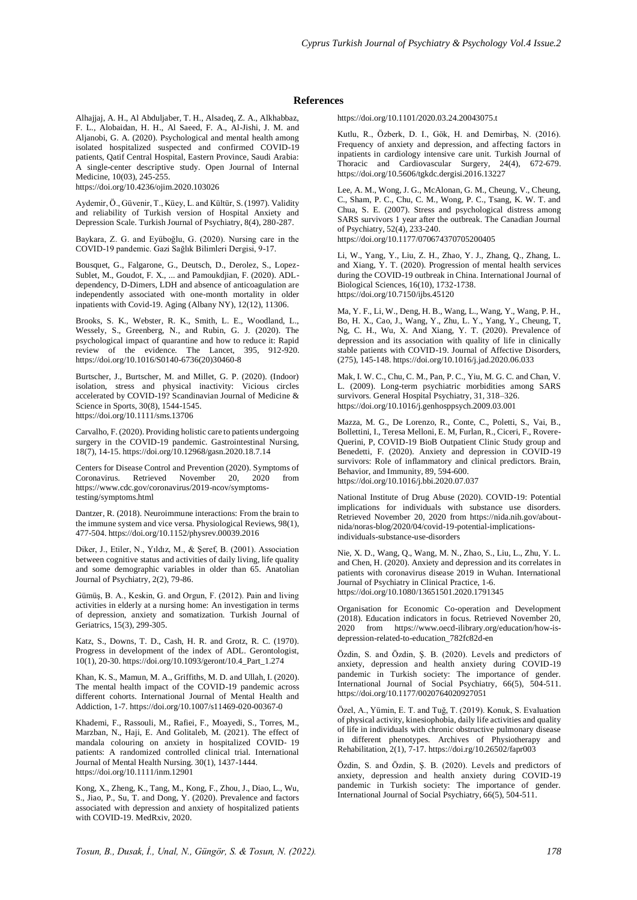# **References**

Alhajjaj, A. H., Al Abduljaber, T. H., Alsadeq, Z. A., Alkhabbaz, F. L., Alobaidan, H. H., Al Saeed, F. A., Al-Jishi, J. M. and Aljanobi, G. A. (2020). Psychological and mental health among isolated hospitalized suspected and confirmed COVID-19 patients, Qatif Central Hospital, Eastern Province, Saudi Arabia: A single-center descriptive study. Open Journal of Internal Medicine, 10(03), 245-255.

https://doi.org/10.4236/ojim.2020.103026

Aydemir, Ö., Güvenir, T., Küey, L. and Kültür, S. (1997). Validity and reliability of Turkish version of Hospital Anxiety and Depression Scale. Turkish Journal of Psychiatry, 8(4), 280-287.

Baykara, Z. G. and Eyüboğlu, G. (2020). Nursing care in the COVID-19 pandemic. Gazi Sağlık Bilimleri Dergisi, 9-17.

Bousquet, G., Falgarone, G., Deutsch, D., Derolez, S., Lopez-Sublet, M., Goudot, F. X., ... and Pamoukdjian, F. (2020). ADLdependency, D-Dimers, LDH and absence of anticoagulation are independently associated with one-month mortality in older inpatients with Covid-19. Aging (Albany NY), 12(12), 11306.

Brooks, S. K., Webster, R. K., Smith, L. E., Woodland, L., Wessely, S., Greenberg, N., and Rubin, G. J. (2020). The psychological impact of quarantine and how to reduce it: Rapid review of the evidence. The Lancet, 395, 912-920. https://doi.org/10.1016/S0140-6736(20)30460-8

Burtscher, J., Burtscher, M. and Millet, G. P. (2020). (Indoor) isolation, stress and physical inactivity: Vicious circles accelerated by COVID-19? Scandinavian Journal of Medicine & Science in Sports, 30(8), 1544-1545. https://doi.org/10.1111/sms.13706

Carvalho, F. (2020). Providing holistic care to patients undergoing surgery in the COVID-19 pandemic. Gastrointestinal Nursing, 18(7), 14-15. https://doi.org/10.12968/gasn.2020.18.7.14

Centers for Disease Control and Prevention (2020). Symptoms of Coronavirus. Retrieved November 20, 2020 from https://www.cdc.gov/coronavirus/2019-ncov/symptomstesting/symptoms.html

Dantzer, R. (2018). Neuroimmune interactions: From the brain to the immune system and vice versa. Physiological Reviews, 98(1), 477-504. https://doi.org/10.1152/physrev.00039.2016

Diker, J., Etiler, N., Yıldız, M., & Şeref, B. (2001). Association between cognitive status and activities of daily living, life quality and some demographic variables in older than 65. Anatolian Journal of Psychiatry, 2(2), 79-86.

Gümüş, B. A., Keskin, G. and Orgun, F. (2012). Pain and living activities in elderly at a nursing home: An investigation in terms of depression, anxiety and somatization. Turkish Journal of Geriatrics, 15(3), 299-305.

Katz, S., Downs, T. D., Cash, H. R. and Grotz, R. C. (1970). Progress in development of the index of ADL. Gerontologist, 10(1), 20-30. https://doi.org/10.1093/geront/10.4\_Part\_1.274

Khan, K. S., Mamun, M. A., Griffiths, M. D. and Ullah, I. (2020). The mental health impact of the COVID-19 pandemic across different cohorts. International Journal of Mental Health and Addiction, 1-7. https://doi.org/10.1007/s11469-020-00367-0

Khademi, F., Rassouli, M., Rafiei, F., Moayedi, S., Torres, M., Marzban, N., Haji, E. And Golitaleb, M. (2021). The effect of mandala colouring on anxiety in hospitalized COVID‐ 19 patients: A randomized controlled clinical trial. International Journal of Mental Health Nursing. 30(1), 1437-1444. https://doi.org/10.1111/inm.12901

Kong, X., Zheng, K., Tang, M., Kong, F., Zhou, J., Diao, L., Wu, S., Jiao, P., Su, T. and Dong, Y. (2020). Prevalence and factors associated with depression and anxiety of hospitalized patients with COVID-19. MedRxiv, 2020.

https://doi.org/10.1101/2020.03.24.20043075.t

Kutlu, R., Özberk, D. I., Gök, H. and Demirbaş, N. (2016). Frequency of anxiety and depression, and affecting factors in inpatients in cardiology intensive care unit. Turkish Journal of Thoracic and Cardiovascular Surgery, 24(4), 672-679. https://doi.org/10.5606/tgkdc.dergisi.2016.13227

Lee, A. M., Wong, J. G., McAlonan, G. M., Cheung, V., Cheung, C., Sham, P. C., Chu, C. M., Wong, P. C., Tsang, K. W. T. and Chua, S. E. (2007). Stress and psychological distress among SARS survivors 1 year after the outbreak. The Canadian Journal of Psychiatry, 52(4), 233-240. https://doi.org/10.1177/070674370705200405

Li, W., Yang, Y., Liu, Z. H., Zhao, Y. J., Zhang, Q., Zhang, L. and Xiang, Y. T. (2020). Progression of mental health services

during the COVID-19 outbreak in China. International Journal of Biological Sciences, 16(10), 1732-1738. https://doi.org/10.7150/ijbs.45120

Ma, Y. F., Li, W., Deng, H. B., Wang, L., Wang, Y., Wang, P. H., Bo, H. X., Cao, J., Wang, Y., Zhu, L. Y., Yang, Y., Cheung, T, Ng, C. H., Wu, X. And Xiang, Y. T. (2020). Prevalence of depression and its association with quality of life in clinically stable patients with COVID-19. Journal of Affective Disorders, (275), 145-148. https://doi.org/10.1016/j.jad.2020.06.033

Mak, I. W. C., Chu, C. M., Pan, P. C., Yiu, M. G. C. and Chan, V. L. (2009). Long-term psychiatric morbidities among SARS survivors. General Hospital Psychiatry, 31, 318–326. https://doi.org/10.1016/j.genhosppsych.2009.03.001

Mazza, M. G., De Lorenzo, R., Conte, C., Poletti, S., Vai, B., Bollettini, I., Teresa Melloni, E. M, Furlan, R., Ciceri, F., Rovere-Querini, P, COVID-19 BioB Outpatient Clinic Study group and Benedetti, F. (2020). Anxiety and depression in COVID-19 survivors: Role of inflammatory and clinical predictors. Brain, Behavior, and Immunity, 89, 594-600. https://doi.org/10.1016/j.bbi.2020.07.037

National Institute of Drug Abuse (2020). COVID-19: Potential implications for individuals with substance use disorders. Retrieved November 20, 2020 from https://nida.nih.gov/aboutnida/noras-blog/2020/04/covid-19-potential-implicationsindividuals-substance-use-disorders

Nie, X. D., Wang, Q., Wang, M. N., Zhao, S., Liu, L., Zhu, Y. L. and Chen, H. (2020). Anxiety and depression and its correlates in patients with coronavirus disease 2019 in Wuhan. International Journal of Psychiatry in Clinical Practice, 1-6. https://doi.org/10.1080/13651501.2020.1791345

Organisation for Economic Co-operation and Development (2018). Education indicators in focus. Retrieved November 20, 2020 from https://www.oecd-ilibrary.org/education/how-isdepression-related-to-education\_782fc82d-en

Özdin, S. and Özdin, Ş. B. (2020). Levels and predictors of anxiety, depression and health anxiety during COVID-19 pandemic in Turkish society: The importance of gender. International Journal of Social Psychiatry, 66(5), 504-511. https://doi.org/10.1177/0020764020927051

Özel, A., Yümin, E. T. and Tuğ, T. (2019). Konuk, S. Evaluation of physical activity, kinesiophobia, daily life activities and quality of life in individuals with chronic obstructive pulmonary disease in different phenotypes. Archives of Physiotherapy and Rehabilitation, 2(1), 7-17. https://doi.rg/10.26502/fapr003

Özdin, S. and Özdin, Ş. B. (2020). Levels and predictors of anxiety, depression and health anxiety during COVID-19 pandemic in Turkish society: The importance of gender. International Journal of Social Psychiatry, 66(5), 504-511.